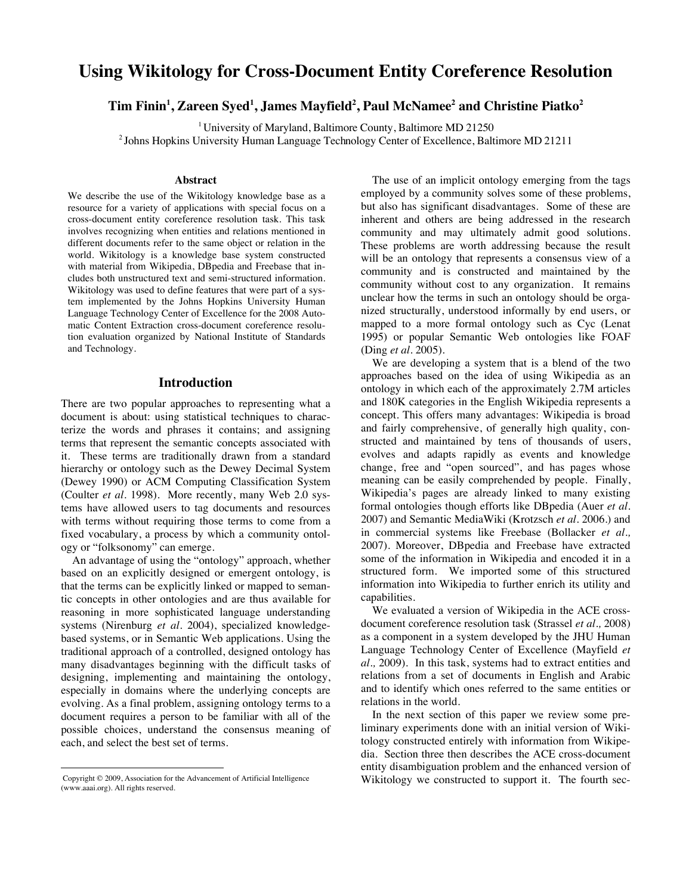# **Using Wikitology for Cross-Document Entity Coreference Resolution**

# $\rm{Tim}\, Fini<sup>n</sup>, Zareen\, Syed<sup>1</sup>, James Mayfield<sup>2</sup>, Paul McNamee<sup>2</sup> and Christine Piatko<sup>2</sup>$

<sup>1</sup> University of Maryland, Baltimore County, Baltimore MD 21250

2 Johns Hopkins University Human Language Technology Center of Excellence, Baltimore MD 21211

#### **Abstract**

We describe the use of the Wikitology knowledge base as a resource for a variety of applications with special focus on a cross-document entity coreference resolution task. This task involves recognizing when entities and relations mentioned in different documents refer to the same object or relation in the world. Wikitology is a knowledge base system constructed with material from Wikipedia, DBpedia and Freebase that includes both unstructured text and semi-structured information. Wikitology was used to define features that were part of a system implemented by the Johns Hopkins University Human Language Technology Center of Excellence for the 2008 Automatic Content Extraction cross-document coreference resolution evaluation organized by National Institute of Standards and Technology.

#### **Introduction**

There are two popular approaches to representing what a document is about: using statistical techniques to characterize the words and phrases it contains; and assigning terms that represent the semantic concepts associated with it. These terms are traditionally drawn from a standard hierarchy or ontology such as the Dewey Decimal System (Dewey 1990) or ACM Computing Classification System (Coulter *et al.* 1998). More recently, many Web 2.0 systems have allowed users to tag documents and resources with terms without requiring those terms to come from a fixed vocabulary, a process by which a community ontology or "folksonomy" can emerge.

An advantage of using the "ontology" approach, whether based on an explicitly designed or emergent ontology, is that the terms can be explicitly linked or mapped to semantic concepts in other ontologies and are thus available for reasoning in more sophisticated language understanding systems (Nirenburg *et al.* 2004), specialized knowledgebased systems, or in Semantic Web applications. Using the traditional approach of a controlled, designed ontology has many disadvantages beginning with the difficult tasks of designing, implementing and maintaining the ontology, especially in domains where the underlying concepts are evolving. As a final problem, assigning ontology terms to a document requires a person to be familiar with all of the possible choices, understand the consensus meaning of each, and select the best set of terms.

 $\overline{a}$ 

The use of an implicit ontology emerging from the tags employed by a community solves some of these problems, but also has significant disadvantages. Some of these are inherent and others are being addressed in the research community and may ultimately admit good solutions. These problems are worth addressing because the result will be an ontology that represents a consensus view of a community and is constructed and maintained by the community without cost to any organization. It remains unclear how the terms in such an ontology should be organized structurally, understood informally by end users, or mapped to a more formal ontology such as Cyc (Lenat 1995) or popular Semantic Web ontologies like FOAF (Ding *et al.* 2005).

We are developing a system that is a blend of the two approaches based on the idea of using Wikipedia as an ontology in which each of the approximately 2.7M articles and 180K categories in the English Wikipedia represents a concept. This offers many advantages: Wikipedia is broad and fairly comprehensive, of generally high quality, constructed and maintained by tens of thousands of users, evolves and adapts rapidly as events and knowledge change, free and "open sourced", and has pages whose meaning can be easily comprehended by people. Finally, Wikipedia's pages are already linked to many existing formal ontologies though efforts like DBpedia (Auer *et al.*  2007) and Semantic MediaWiki (Krotzsch *et al.* 2006.) and in commercial systems like Freebase (Bollacker *et al.,* 2007). Moreover, DBpedia and Freebase have extracted some of the information in Wikipedia and encoded it in a structured form. We imported some of this structured information into Wikipedia to further enrich its utility and capabilities.

We evaluated a version of Wikipedia in the ACE crossdocument coreference resolution task (Strassel *et al.,* 2008) as a component in a system developed by the JHU Human Language Technology Center of Excellence (Mayfield *et al.,* 2009). In this task, systems had to extract entities and relations from a set of documents in English and Arabic and to identify which ones referred to the same entities or relations in the world.

In the next section of this paper we review some preliminary experiments done with an initial version of Wikitology constructed entirely with information from Wikipedia. Section three then describes the ACE cross-document entity disambiguation problem and the enhanced version of Wikitology we constructed to support it. The fourth sec-

Copyright © 2009, Association for the Advancement of Artificial Intelligence (www.aaai.org). All rights reserved.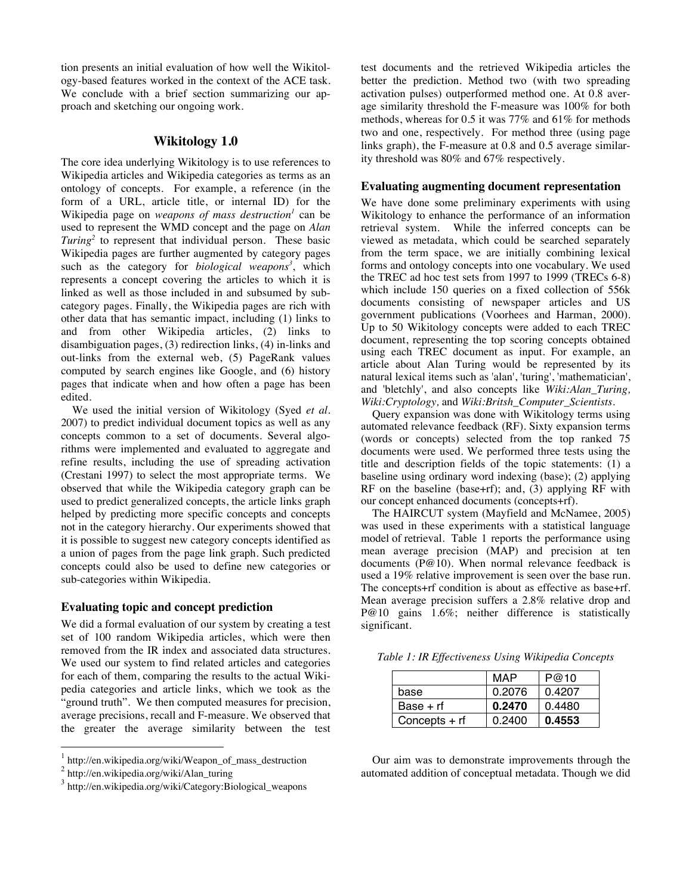tion presents an initial evaluation of how well the Wikitology-based features worked in the context of the ACE task. We conclude with a brief section summarizing our approach and sketching our ongoing work.

# **Wikitology 1.0**

The core idea underlying Wikitology is to use references to Wikipedia articles and Wikipedia categories as terms as an ontology of concepts. For example, a reference (in the form of a URL, article title, or internal ID) for the Wikipedia page on *weapons of mass destruction<sup>1</sup>* can be used to represent the WMD concept and the page on *Alan Turing<sup>2</sup>* to represent that individual person. These basic Wikipedia pages are further augmented by category pages such as the category for *biological weapons<sup>3</sup>* , which represents a concept covering the articles to which it is linked as well as those included in and subsumed by subcategory pages. Finally, the Wikipedia pages are rich with other data that has semantic impact, including (1) links to and from other Wikipedia articles, (2) links to disambiguation pages, (3) redirection links, (4) in-links and out-links from the external web, (5) PageRank values computed by search engines like Google, and (6) history pages that indicate when and how often a page has been edited.

We used the initial version of Wikitology (Syed *et al.* 2007) to predict individual document topics as well as any concepts common to a set of documents. Several algorithms were implemented and evaluated to aggregate and refine results, including the use of spreading activation (Crestani 1997) to select the most appropriate terms. We observed that while the Wikipedia category graph can be used to predict generalized concepts, the article links graph helped by predicting more specific concepts and concepts not in the category hierarchy. Our experiments showed that it is possible to suggest new category concepts identified as a union of pages from the page link graph. Such predicted concepts could also be used to define new categories or sub-categories within Wikipedia.

# **Evaluating topic and concept prediction**

We did a formal evaluation of our system by creating a test set of 100 random Wikipedia articles, which were then removed from the IR index and associated data structures. We used our system to find related articles and categories for each of them, comparing the results to the actual Wikipedia categories and article links, which we took as the "ground truth". We then computed measures for precision, average precisions, recall and F-measure. We observed that the greater the average similarity between the test test documents and the retrieved Wikipedia articles the better the prediction. Method two (with two spreading activation pulses) outperformed method one. At 0.8 average similarity threshold the F-measure was 100% for both methods, whereas for 0.5 it was 77% and 61% for methods two and one, respectively. For method three (using page links graph), the F-measure at 0.8 and 0.5 average similarity threshold was 80% and 67% respectively.

#### **Evaluating augmenting document representation**

We have done some preliminary experiments with using Wikitology to enhance the performance of an information retrieval system. While the inferred concepts can be viewed as metadata, which could be searched separately from the term space, we are initially combining lexical forms and ontology concepts into one vocabulary. We used the TREC ad hoc test sets from 1997 to 1999 (TRECs 6-8) which include 150 queries on a fixed collection of 556k documents consisting of newspaper articles and US government publications (Voorhees and Harman, 2000). Up to 50 Wikitology concepts were added to each TREC document, representing the top scoring concepts obtained using each TREC document as input. For example, an article about Alan Turing would be represented by its natural lexical items such as 'alan', 'turing', 'mathematician', and 'bletchly', and also concepts like *Wiki:Alan\_Turing, Wiki:Cryptology,* and *Wiki:Britsh\_Computer\_Scientists*.

Query expansion was done with Wikitology terms using automated relevance feedback (RF). Sixty expansion terms (words or concepts) selected from the top ranked 75 documents were used. We performed three tests using the title and description fields of the topic statements: (1) a baseline using ordinary word indexing (base); (2) applying RF on the baseline (base+rf); and, (3) applying RF with our concept enhanced documents (concepts+rf).

The HAIRCUT system (Mayfield and McNamee, 2005) was used in these experiments with a statistical language model of retrieval. Table 1 reports the performance using mean average precision (MAP) and precision at ten documents (P@10). When normal relevance feedback is used a 19% relative improvement is seen over the base run. The concepts+rf condition is about as effective as base+rf. Mean average precision suffers a 2.8% relative drop and P@10 gains 1.6%; neither difference is statistically significant.

*Table 1: IR Effectiveness Using Wikipedia Concepts*

|                 | MAP    | P@10   |
|-----------------|--------|--------|
| base            | 0.2076 | 0.4207 |
| $Base + rf$     | 0.2470 | 0.4480 |
| Concepts $+$ rf | 0.2400 | 0.4553 |

Our aim was to demonstrate improvements through the automated addition of conceptual metadata. Though we did

http://en.wikipedia.org/wiki/Weapon\_of\_mass\_destruction

<sup>2</sup> http://en.wikipedia.org/wiki/Alan\_turing

<sup>&</sup>lt;sup>3</sup> http://en.wikipedia.org/wiki/Category:Biological\_weapons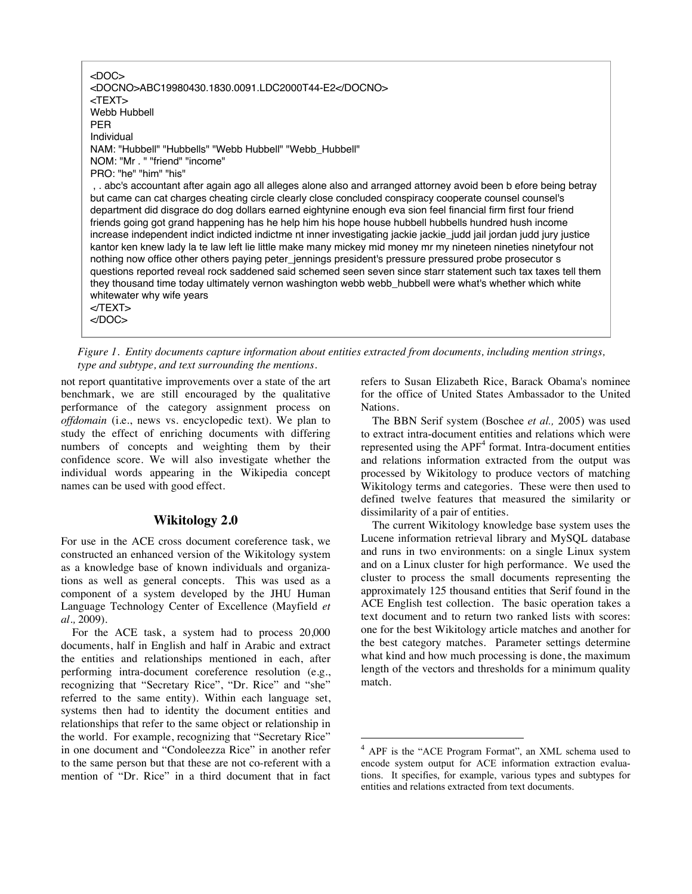$<$ DOC $>$ <DOCNO>ABC19980430.1830.0091.LDC2000T44-E2</DOCNO> <TEXT> Webb Hubbell PER Individual NAM: "Hubbell" "Hubbells" "Webb Hubbell" "Webb\_Hubbell" NOM: "Mr . " "friend" "income" PRO: "he" "him" "his" , . abc's accountant after again ago all alleges alone also and arranged attorney avoid been b efore being betray but came can cat charges cheating circle clearly close concluded conspiracy cooperate counsel counsel's department did disgrace do dog dollars earned eightynine enough eva sion feel financial firm first four friend friends going got grand happening has he help him his hope house hubbell hubbells hundred hush income increase independent indict indicted indictme nt inner investigating jackie jackie\_judd jail jordan judd jury justice

kantor ken knew lady la te law left lie little make many mickey mid money mr my nineteen nineties ninetyfour not nothing now office other others paying peter\_jennings president's pressure pressured probe prosecutor s questions reported reveal rock saddened said schemed seen seven since starr statement such tax taxes tell them they thousand time today ultimately vernon washington webb webb\_hubbell were what's whether which white whitewater why wife years

 $<$  $T$ FXT $>$  $<$ /DOC $>$ 

*Figure 1. Entity documents capture information about entities extracted from documents, including mention strings, type and subtype, and text surrounding the mentions.*

not report quantitative improvements over a state of the art benchmark, we are still encouraged by the qualitative performance of the category assignment process on *offdomain* (i.e., news vs. encyclopedic text). We plan to study the effect of enriching documents with differing numbers of concepts and weighting them by their confidence score. We will also investigate whether the individual words appearing in the Wikipedia concept names can be used with good effect.

# **Wikitology 2.0**

For use in the ACE cross document coreference task, we constructed an enhanced version of the Wikitology system as a knowledge base of known individuals and organizations as well as general concepts. This was used as a component of a system developed by the JHU Human Language Technology Center of Excellence (Mayfield *et al.,* 2009).

For the ACE task, a system had to process 20,000 documents, half in English and half in Arabic and extract the entities and relationships mentioned in each, after performing intra-document coreference resolution (e.g., recognizing that "Secretary Rice", "Dr. Rice" and "she" referred to the same entity). Within each language set, systems then had to identity the document entities and relationships that refer to the same object or relationship in the world. For example, recognizing that "Secretary Rice" in one document and "Condoleezza Rice" in another refer to the same person but that these are not co-referent with a mention of "Dr. Rice" in a third document that in fact refers to Susan Elizabeth Rice, Barack Obama's nominee for the office of United States Ambassador to the United Nations.

The BBN Serif system (Boschee *et al.,* 2005) was used to extract intra-document entities and relations which were represented using the APF<sup>4</sup> format. Intra-document entities and relations information extracted from the output was processed by Wikitology to produce vectors of matching Wikitology terms and categories. These were then used to defined twelve features that measured the similarity or dissimilarity of a pair of entities.

The current Wikitology knowledge base system uses the Lucene information retrieval library and MySQL database and runs in two environments: on a single Linux system and on a Linux cluster for high performance. We used the cluster to process the small documents representing the approximately 125 thousand entities that Serif found in the ACE English test collection. The basic operation takes a text document and to return two ranked lists with scores: one for the best Wikitology article matches and another for the best category matches. Parameter settings determine what kind and how much processing is done, the maximum length of the vectors and thresholds for a minimum quality match.

 <sup>4</sup> APF is the "ACE Program Format", an XML schema used to encode system output for ACE information extraction evaluations. It specifies, for example, various types and subtypes for entities and relations extracted from text documents.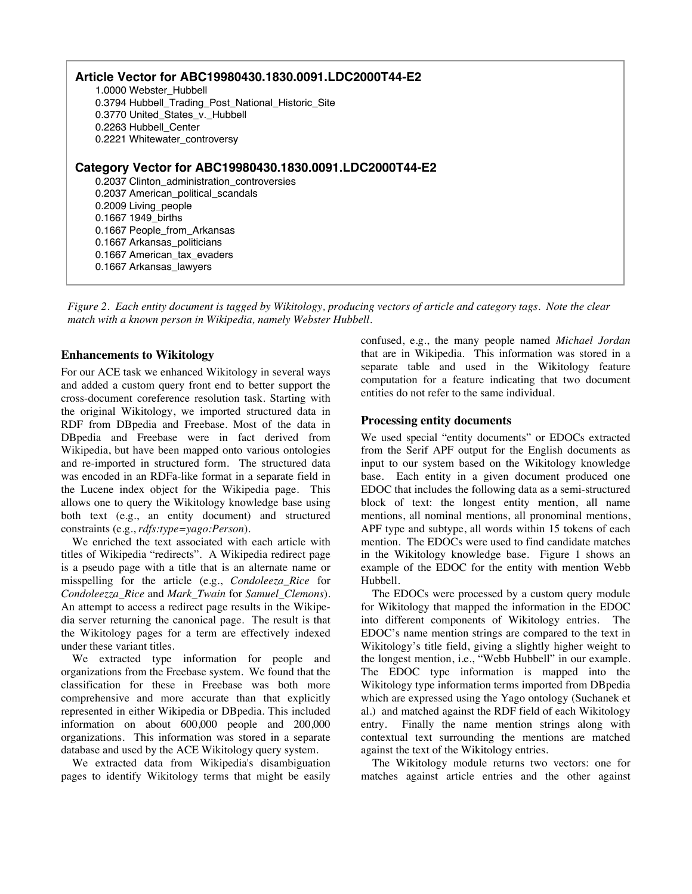**Article Vector for ABC19980430.1830.0091.LDC2000T44-E2** 1.0000 Webster\_Hubbell 0.3794 Hubbell\_Trading\_Post\_National\_Historic\_Site 0.3770 United\_States\_v.\_Hubbell 0.2263 Hubbell\_Center 0.2221 Whitewater\_controversy **Category Vector for ABC19980430.1830.0091.LDC2000T44-E2** 0.2037 Clinton\_administration\_controversies 0.2037 American\_political\_scandals 0.2009 Living\_people 0.1667 1949\_births 0.1667 People\_from\_Arkansas 0.1667 Arkansas\_politicians 0.1667 American\_tax\_evaders 0.1667 Arkansas\_lawyers

*Figure 2. Each entity document is tagged by Wikitology, producing vectors of article and category tags. Note the clear match with a known person in Wikipedia, namely Webster Hubbell.*

### **Enhancements to Wikitology**

For our ACE task we enhanced Wikitology in several ways and added a custom query front end to better support the cross-document coreference resolution task. Starting with the original Wikitology, we imported structured data in RDF from DBpedia and Freebase. Most of the data in DBpedia and Freebase were in fact derived from Wikipedia, but have been mapped onto various ontologies and re-imported in structured form. The structured data was encoded in an RDFa-like format in a separate field in the Lucene index object for the Wikipedia page. This allows one to query the Wikitology knowledge base using both text (e.g., an entity document) and structured constraints (e.g., *rdfs:type=yago:Person*).

We enriched the text associated with each article with titles of Wikipedia "redirects". A Wikipedia redirect page is a pseudo page with a title that is an alternate name or misspelling for the article (e.g., *Condoleeza\_Rice* for *Condoleezza\_Rice* and *Mark\_Twain* for *Samuel\_Clemons*). An attempt to access a redirect page results in the Wikipedia server returning the canonical page. The result is that the Wikitology pages for a term are effectively indexed under these variant titles.

We extracted type information for people and organizations from the Freebase system. We found that the classification for these in Freebase was both more comprehensive and more accurate than that explicitly represented in either Wikipedia or DBpedia. This included information on about 600,000 people and 200,000 organizations. This information was stored in a separate database and used by the ACE Wikitology query system.

We extracted data from Wikipedia's disambiguation pages to identify Wikitology terms that might be easily confused, e.g., the many people named *Michael Jordan* that are in Wikipedia. This information was stored in a separate table and used in the Wikitology feature computation for a feature indicating that two document entities do not refer to the same individual.

#### **Processing entity documents**

We used special "entity documents" or EDOCs extracted from the Serif APF output for the English documents as input to our system based on the Wikitology knowledge base. Each entity in a given document produced one EDOC that includes the following data as a semi-structured block of text: the longest entity mention, all name mentions, all nominal mentions, all pronominal mentions, APF type and subtype, all words within 15 tokens of each mention. The EDOCs were used to find candidate matches in the Wikitology knowledge base. Figure 1 shows an example of the EDOC for the entity with mention Webb Hubbell.

The EDOCs were processed by a custom query module for Wikitology that mapped the information in the EDOC into different components of Wikitology entries. The EDOC's name mention strings are compared to the text in Wikitology's title field, giving a slightly higher weight to the longest mention, i.e., "Webb Hubbell" in our example. The EDOC type information is mapped into the Wikitology type information terms imported from DBpedia which are expressed using the Yago ontology (Suchanek et al.) and matched against the RDF field of each Wikitology entry. Finally the name mention strings along with contextual text surrounding the mentions are matched against the text of the Wikitology entries.

The Wikitology module returns two vectors: one for matches against article entries and the other against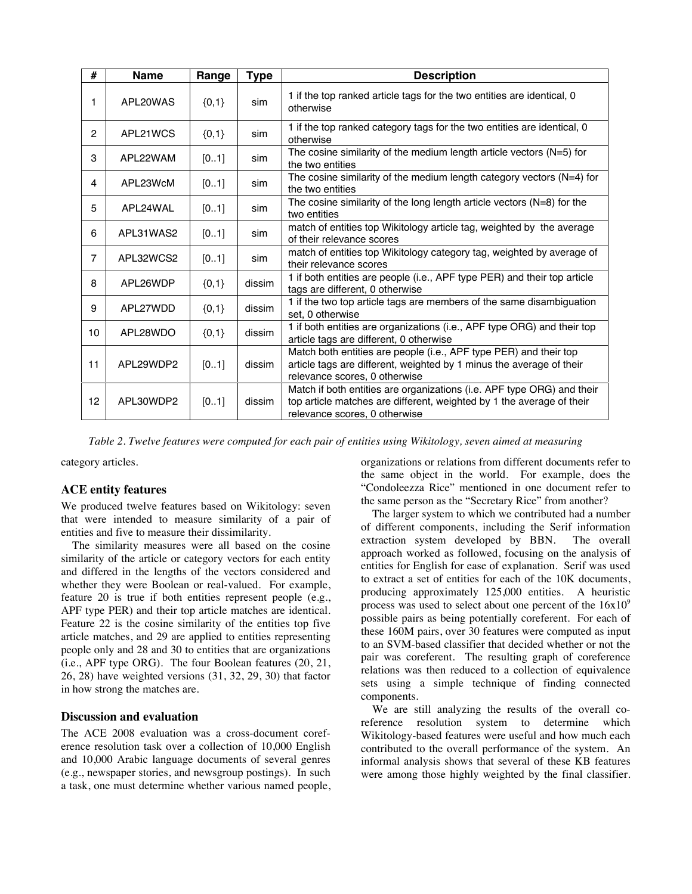| #              | <b>Name</b> | Range   | Type   | <b>Description</b>                                                                                                                                                               |  |
|----------------|-------------|---------|--------|----------------------------------------------------------------------------------------------------------------------------------------------------------------------------------|--|
| 1              | APL20WAS    | ${0,1}$ | sim    | 1 if the top ranked article tags for the two entities are identical, 0<br>otherwise                                                                                              |  |
| $\overline{2}$ | APL21WCS    | ${0,1}$ | sim    | 1 if the top ranked category tags for the two entities are identical, 0<br>otherwise                                                                                             |  |
| 3              | APL22WAM    | [01]    | sim    | The cosine similarity of the medium length article vectors $(N=5)$ for<br>the two entities                                                                                       |  |
| 4              | APL23WcM    | [01]    | sim    | The cosine similarity of the medium length category vectors $(N=4)$ for<br>the two entities                                                                                      |  |
| 5              | APL24WAL    | [01]    | sim    | The cosine similarity of the long length article vectors ( $N=8$ ) for the<br>two entities                                                                                       |  |
| 6              | APL31WAS2   | [01]    | sim    | match of entities top Wikitology article tag, weighted by the average<br>of their relevance scores                                                                               |  |
| $\overline{7}$ | APL32WCS2   | [01]    | sim    | match of entities top Wikitology category tag, weighted by average of<br>their relevance scores                                                                                  |  |
| 8              | APL26WDP    | ${0,1}$ | dissim | 1 if both entities are people (i.e., APF type PER) and their top article<br>tags are different, 0 otherwise                                                                      |  |
| 9              | APL27WDD    | ${0,1}$ | dissim | 1 if the two top article tags are members of the same disambiguation<br>set. 0 otherwise                                                                                         |  |
| 10             | APL28WDO    | ${0,1}$ | dissim | 1 if both entities are organizations (i.e., APF type ORG) and their top<br>article tags are different, 0 otherwise                                                               |  |
| 11             | APL29WDP2   | [01]    | dissim | Match both entities are people (i.e., APF type PER) and their top<br>article tags are different, weighted by 1 minus the average of their<br>relevance scores, 0 otherwise       |  |
| 12             | APL30WDP2   | [01]    | dissim | Match if both entities are organizations (i.e. APF type ORG) and their<br>top article matches are different, weighted by 1 the average of their<br>relevance scores, 0 otherwise |  |

*Table 2. Twelve features were computed for each pair of entities using Wikitology, seven aimed at measuring* 

category articles. *their similarity and five for measuring their dissimilarity.*

# **ACE entity features**

We produced twelve features based on Wikitology: seven that were intended to measure similarity of a pair of entities and five to measure their dissimilarity.

The similarity measures were all based on the cosine similarity of the article or category vectors for each entity and differed in the lengths of the vectors considered and whether they were Boolean or real-valued. For example, feature 20 is true if both entities represent people (e.g., APF type PER) and their top article matches are identical. Feature 22 is the cosine similarity of the entities top five article matches, and 29 are applied to entities representing people only and 28 and 30 to entities that are organizations (i.e., APF type ORG). The four Boolean features (20, 21, 26, 28) have weighted versions (31, 32, 29, 30) that factor in how strong the matches are.

#### **Discussion and evaluation**

The ACE 2008 evaluation was a cross-document coreference resolution task over a collection of 10,000 English and 10,000 Arabic language documents of several genres (e.g., newspaper stories, and newsgroup postings). In such a task, one must determine whether various named people, organizations or relations from different documents refer to the same object in the world. For example, does the "Condoleezza Rice" mentioned in one document refer to the same person as the "Secretary Rice" from another?

The larger system to which we contributed had a number of different components, including the Serif information extraction system developed by BBN. approach worked as followed, focusing on the analysis of entities for English for ease of explanation. Serif was used to extract a set of entities for each of the 10K documents, producing approximately 125,000 entities. A heuristic process was used to select about one percent of the  $16x10^9$ possible pairs as being potentially coreferent. For each of these 160M pairs, over 30 features were computed as input to an SVM-based classifier that decided whether or not the pair was coreferent. The resulting graph of coreference relations was then reduced to a collection of equivalence sets using a simple technique of finding connected components.

We are still analyzing the results of the overall coreference resolution system to determine which Wikitology-based features were useful and how much each contributed to the overall performance of the system. An informal analysis shows that several of these KB features were among those highly weighted by the final classifier.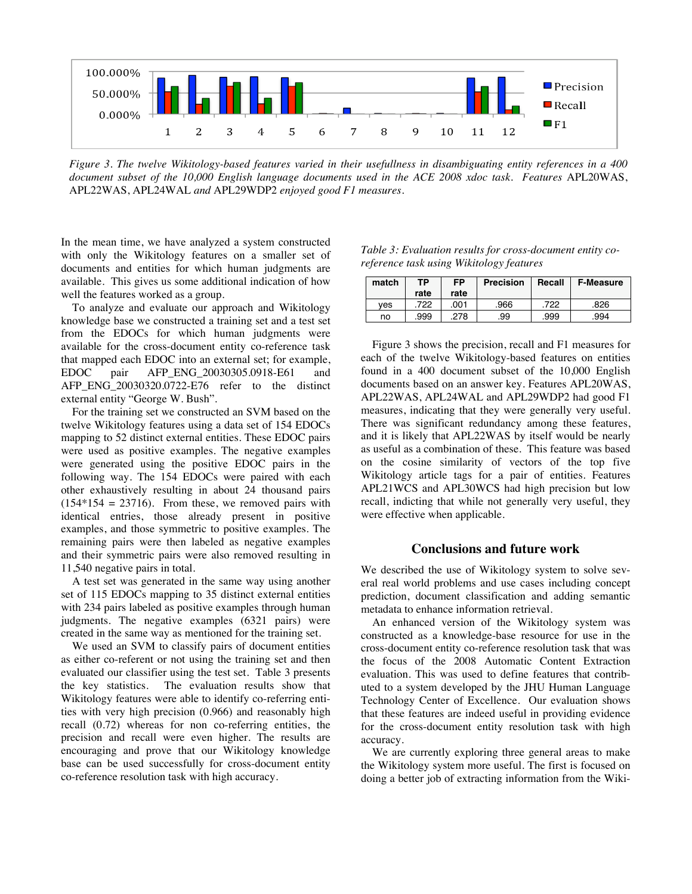

*Figure 3. The twelve Wikitology-based features varied in their usefullness in disambiguating entity references in a 400 document subset of the 10,000 English language documents used in the ACE 2008 xdoc task. Features* APL20WAS, APL22WAS, APL24WAL *and* APL29WDP2 *enjoyed good F1 measures*.

In the mean time, we have analyzed a system constructed with only the Wikitology features on a smaller set of documents and entities for which human judgments are available. This gives us some additional indication of how well the features worked as a group.

To analyze and evaluate our approach and Wikitology knowledge base we constructed a training set and a test set from the EDOCs for which human judgments were available for the cross-document entity co-reference task that mapped each EDOC into an external set; for example, EDOC pair AFP\_ENG\_20030305.0918-E61 and AFP\_ENG\_20030320.0722-E76 refer to the distinct external entity "George W. Bush".

For the training set we constructed an SVM based on the twelve Wikitology features using a data set of 154 EDOCs mapping to 52 distinct external entities. These EDOC pairs were used as positive examples. The negative examples were generated using the positive EDOC pairs in the following way. The 154 EDOCs were paired with each other exhaustively resulting in about 24 thousand pairs  $(154*154 = 23716)$ . From these, we removed pairs with identical entries, those already present in positive examples, and those symmetric to positive examples. The remaining pairs were then labeled as negative examples and their symmetric pairs were also removed resulting in 11,540 negative pairs in total.

A test set was generated in the same way using another set of 115 EDOCs mapping to 35 distinct external entities with 234 pairs labeled as positive examples through human judgments. The negative examples (6321 pairs) were created in the same way as mentioned for the training set.

We used an SVM to classify pairs of document entities as either co-referent or not using the training set and then evaluated our classifier using the test set. Table 3 presents the key statistics. The evaluation results show that Wikitology features were able to identify co-referring entities with very high precision (0.966) and reasonably high recall (0.72) whereas for non co-referring entities, the precision and recall were even higher. The results are encouraging and prove that our Wikitology knowledge base can be used successfully for cross-document entity co-reference resolution task with high accuracy.

| Table 3: Evaluation results for cross-document entity co- |  |
|-----------------------------------------------------------|--|
| reference task using Wikitology features                  |  |

| match | ТP<br>rate | <b>FP</b><br>rate | <b>Precision</b> | Recall | <b>F-Measure</b> |
|-------|------------|-------------------|------------------|--------|------------------|
| ves   | 722        | .001              | .966             | 722    | .826             |
| no    | .999       | 278               | .99              | .999   | .994             |

Figure 3 shows the precision, recall and F1 measures for each of the twelve Wikitology-based features on entities found in a 400 document subset of the 10,000 English documents based on an answer key. Features APL20WAS, APL22WAS, APL24WAL and APL29WDP2 had good F1 measures, indicating that they were generally very useful. There was significant redundancy among these features, and it is likely that APL22WAS by itself would be nearly as useful as a combination of these. This feature was based on the cosine similarity of vectors of the top five Wikitology article tags for a pair of entities. Features APL21WCS and APL30WCS had high precision but low recall, indicting that while not generally very useful, they were effective when applicable.

#### **Conclusions and future work**

We described the use of Wikitology system to solve several real world problems and use cases including concept prediction, document classification and adding semantic metadata to enhance information retrieval.

An enhanced version of the Wikitology system was constructed as a knowledge-base resource for use in the cross-document entity co-reference resolution task that was the focus of the 2008 Automatic Content Extraction evaluation. This was used to define features that contributed to a system developed by the JHU Human Language Technology Center of Excellence. Our evaluation shows that these features are indeed useful in providing evidence for the cross-document entity resolution task with high accuracy.

We are currently exploring three general areas to make the Wikitology system more useful. The first is focused on doing a better job of extracting information from the Wiki-